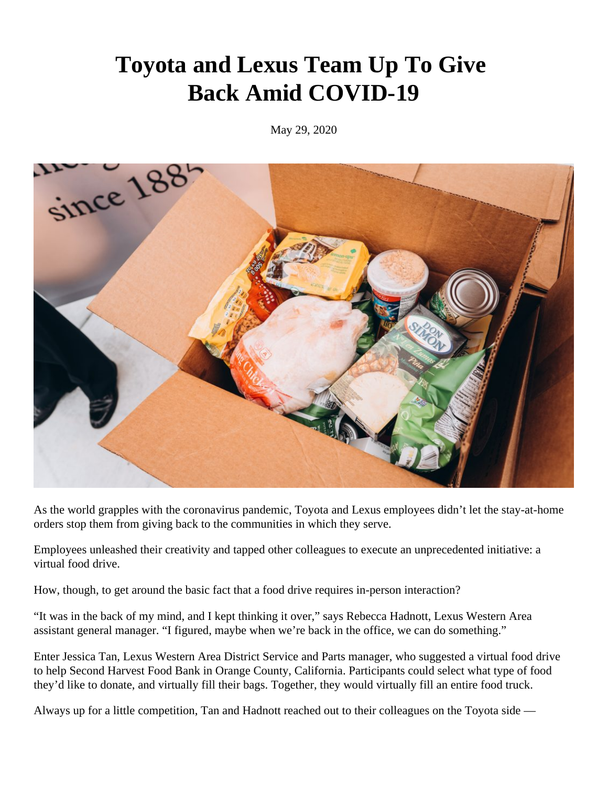## **Toyota and Lexus Team Up To Give Back Amid COVID-19**

May 29, 2020



As the world grapples with the coronavirus pandemic, Toyota and Lexus employees didn't let the stay-at-home orders stop them from giving back to the communities in which they serve.

Employees unleashed their creativity and tapped other colleagues to execute an unprecedented initiative: a virtual food drive.

How, though, to get around the basic fact that a food drive requires in-person interaction?

"It was in the back of my mind, and I kept thinking it over," says Rebecca Hadnott, Lexus Western Area assistant general manager. "I figured, maybe when we're back in the office, we can do something."

Enter Jessica Tan, Lexus Western Area District Service and Parts manager, who suggested a virtual food drive to help Second Harvest Food Bank in Orange County, California. Participants could select what type of food they'd like to donate, and virtually fill their bags. Together, they would virtually fill an entire food truck.

Always up for a little competition, Tan and Hadnott reached out to their colleagues on the Toyota side —